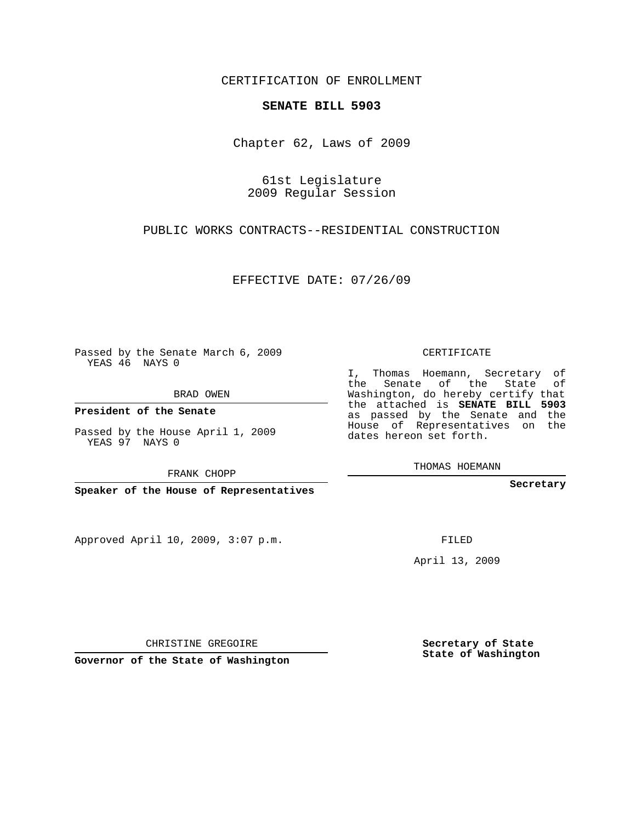## CERTIFICATION OF ENROLLMENT

## **SENATE BILL 5903**

Chapter 62, Laws of 2009

61st Legislature 2009 Regular Session

PUBLIC WORKS CONTRACTS--RESIDENTIAL CONSTRUCTION

EFFECTIVE DATE: 07/26/09

Passed by the Senate March 6, 2009 YEAS 46 NAYS 0

BRAD OWEN

**President of the Senate**

Passed by the House April 1, 2009 YEAS 97 NAYS 0

FRANK CHOPP

**Speaker of the House of Representatives**

Approved April 10, 2009, 3:07 p.m.

CERTIFICATE

I, Thomas Hoemann, Secretary of the Senate of the State of Washington, do hereby certify that the attached is **SENATE BILL 5903** as passed by the Senate and the House of Representatives on the dates hereon set forth.

THOMAS HOEMANN

**Secretary**

FILED

April 13, 2009

CHRISTINE GREGOIRE

**Governor of the State of Washington**

**Secretary of State State of Washington**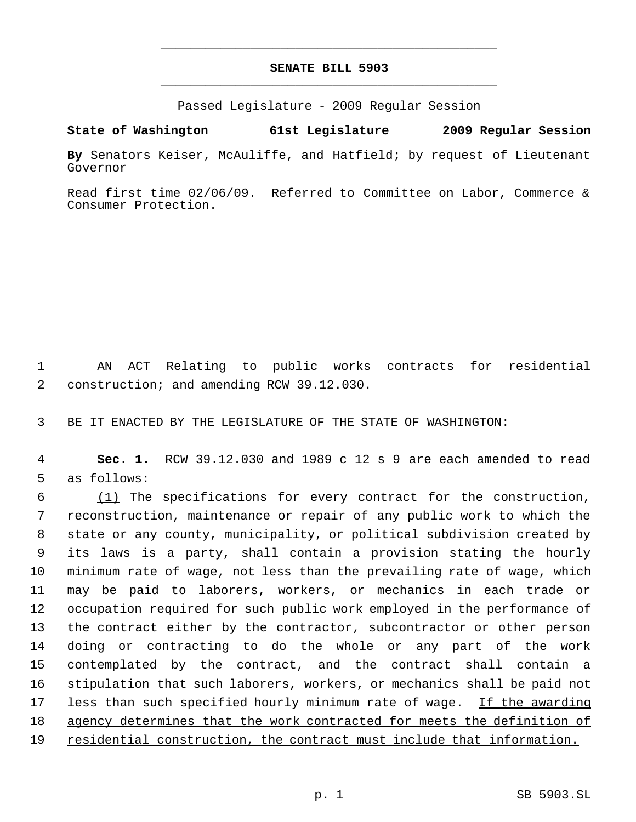## **SENATE BILL 5903** \_\_\_\_\_\_\_\_\_\_\_\_\_\_\_\_\_\_\_\_\_\_\_\_\_\_\_\_\_\_\_\_\_\_\_\_\_\_\_\_\_\_\_\_\_

\_\_\_\_\_\_\_\_\_\_\_\_\_\_\_\_\_\_\_\_\_\_\_\_\_\_\_\_\_\_\_\_\_\_\_\_\_\_\_\_\_\_\_\_\_

Passed Legislature - 2009 Regular Session

**State of Washington 61st Legislature 2009 Regular Session**

**By** Senators Keiser, McAuliffe, and Hatfield; by request of Lieutenant Governor

Read first time 02/06/09. Referred to Committee on Labor, Commerce & Consumer Protection.

 1 AN ACT Relating to public works contracts for residential 2 construction; and amending RCW 39.12.030.

3 BE IT ENACTED BY THE LEGISLATURE OF THE STATE OF WASHINGTON:

 4 **Sec. 1.** RCW 39.12.030 and 1989 c 12 s 9 are each amended to read 5 as follows:

 (1) The specifications for every contract for the construction, reconstruction, maintenance or repair of any public work to which the state or any county, municipality, or political subdivision created by its laws is a party, shall contain a provision stating the hourly minimum rate of wage, not less than the prevailing rate of wage, which may be paid to laborers, workers, or mechanics in each trade or occupation required for such public work employed in the performance of the contract either by the contractor, subcontractor or other person doing or contracting to do the whole or any part of the work contemplated by the contract, and the contract shall contain a stipulation that such laborers, workers, or mechanics shall be paid not 17 less than such specified hourly minimum rate of wage. If the awarding 18 agency determines that the work contracted for meets the definition of 19 residential construction, the contract must include that information.